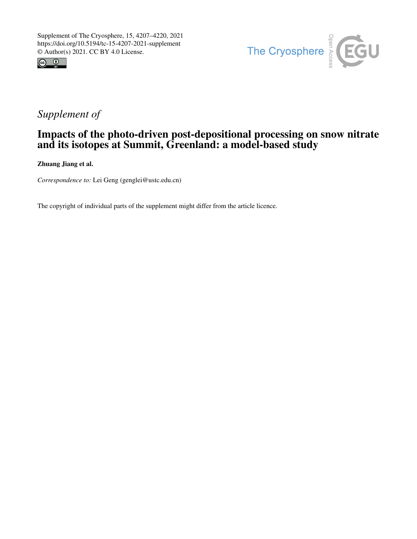



## *Supplement of*

## Impacts of the photo-driven post-depositional processing on snow nitrate and its isotopes at Summit, Greenland: a model-based study

Zhuang Jiang et al.

*Correspondence to:* Lei Geng (genglei@ustc.edu.cn)

The copyright of individual parts of the supplement might differ from the article licence.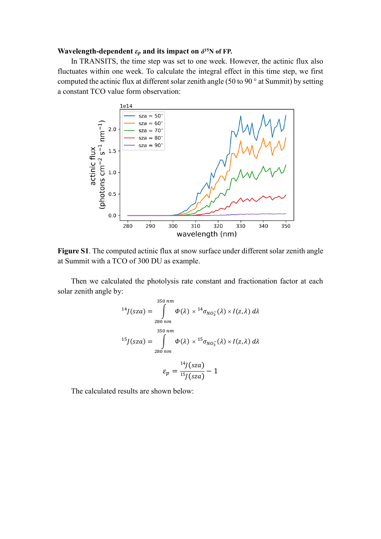## **Wavelength-dependent**  $\varepsilon_p$  and its impact on  $\delta^{15}N$  of FP.

In TRANSITS, the time step was set to one week. However, the actinic flux also fluctuates within one week. To calculate the integral effect in this time step, we first computed the actinic flux at different solar zenith angle (50 to 90 ° at Summit) by setting a constant TCO value form observation:



**Figure S1**. The computed actinic flux at snow surface under different solar zenith angle at Summit with a TCO of 300 DU as example.

Then we calculated the photolysis rate constant and fractionation factor at each solar zenith angle by:

$$
^{14}J(sza) = \int_{280 \text{ nm}}^{350 \text{ nm}} \Phi(\lambda) \times {}^{14}\sigma_{NO_3^-}(\lambda) \times I(z, \lambda) d\lambda
$$
  

$$
^{15}J(sza) = \int_{280 \text{ nm}}^{350 \text{ nm}} \Phi(\lambda) \times {}^{15}\sigma_{NO_3^-}(\lambda) \times I(z, \lambda) d\lambda
$$
  

$$
\varepsilon_p = \frac{{}^{14}J(sza)}{{}^{15}J(sza)} - 1
$$

The calculated results are shown below: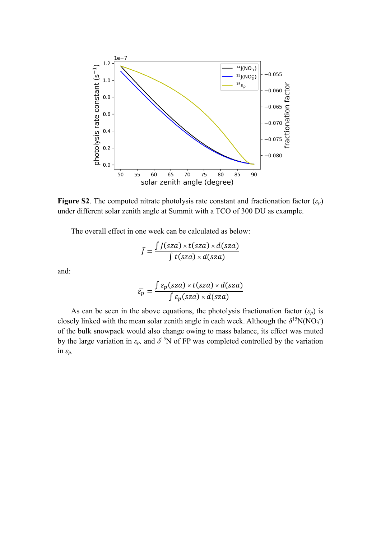

**Figure S2.** The computed nitrate photolysis rate constant and fractionation factor  $(\varepsilon_p)$ under different solar zenith angle at Summit with a TCO of 300 DU as example.

The overall effect in one week can be calculated as below:

$$
\bar{J} = \frac{\int J(sza) \times t(sza) \times d(sza)}{\int t(sza) \times d(sza)}
$$

and:

$$
\bar{\varepsilon}_p = \frac{\int \varepsilon_p(sza) \times t(sza) \times d(sza)}{\int \varepsilon_p(sza) \times d(sza)}
$$

As can be seen in the above equations, the photolysis fractionation factor  $(\varepsilon_p)$  is closely linked with the mean solar zenith angle in each week. Although the  $\delta^{15}N(NO_3^-)$ of the bulk snowpack would also change owing to mass balance, its effect was muted by the large variation in  $\varepsilon_p$ , and  $\delta^{15}N$  of FP was completed controlled by the variation in *εp.*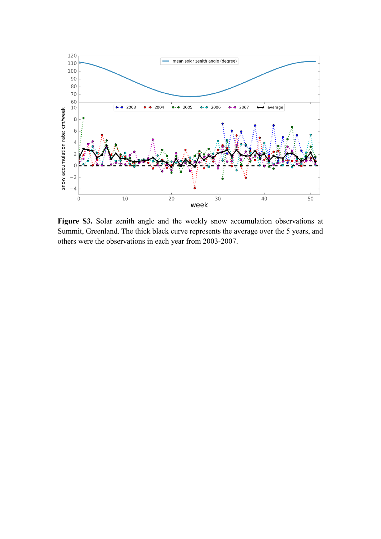

Figure S3. Solar zenith angle and the weekly snow accumulation observations at Summit, Greenland. The thick black curve represents the average over the 5 years, and others were the observations in each year from 2003-2007.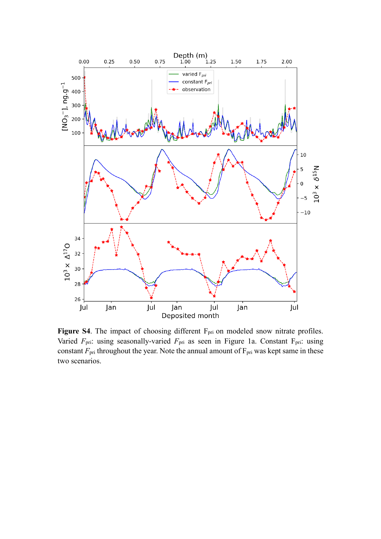

Figure S4. The impact of choosing different F<sub>pri</sub> on modeled snow nitrate profiles. Varied  $F_{\text{pri}}$ : using seasonally-varied  $F_{\text{pri}}$  as seen in Figure 1a. Constant  $F_{\text{pri}}$ : using constant  $F_{\text{pri}}$  throughout the year. Note the annual amount of  $F_{\text{pri}}$  was kept same in these two scenarios.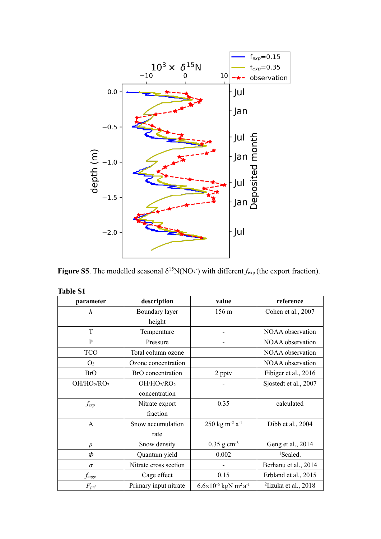

**Figure S5**. The modelled seasonal  $\delta^{15}N(NO_3)$  with different  $f_{exp}$  (the export fraction).

| parameter                           | description                         | value                                                 | reference               |
|-------------------------------------|-------------------------------------|-------------------------------------------------------|-------------------------|
| h                                   | Boundary layer                      | 156 m                                                 | Cohen et al., 2007      |
|                                     | height                              |                                                       |                         |
| T                                   | Temperature                         |                                                       | NOAA observation        |
| P                                   | Pressure                            |                                                       | NOAA observation        |
| <b>TCO</b>                          | Total column ozone                  |                                                       | NOAA observation        |
| $O_3$                               | Ozone concentration                 |                                                       | NOAA observation        |
| <b>BrO</b>                          | BrO concentration                   | 2 pptv                                                | Fibiger et al., 2016    |
| OH/HO <sub>2</sub> /RO <sub>2</sub> | OH/HO <sub>2</sub> /RO <sub>2</sub> |                                                       | Sjostedt et al., 2007   |
|                                     | concentration                       |                                                       |                         |
| fexp                                | Nitrate export                      | 0.35                                                  | calculated              |
|                                     | fraction                            |                                                       |                         |
| A                                   | Snow accumulation                   | $250 \text{ kg m}^2 \text{ a}^{-1}$                   | Dibb et al., 2004       |
|                                     | rate                                |                                                       |                         |
| $\rho$                              | Snow density                        | $0.35$ g cm <sup>-3</sup>                             | Geng et al., 2014       |
| Φ                                   | Quantum yield                       | 0.002                                                 | <sup>1</sup> Scaled.    |
| $\sigma$                            | Nitrate cross section               |                                                       | Berhanu et al., 2014    |
| fcage                               | Cage effect                         | 0.15                                                  | Erbland et al., 2015    |
| $F_{pri}$                           | Primary input nitrate               | $6.6\times10^{-6}$ kgN m <sup>2</sup> a <sup>-1</sup> | $2$ Iizuka et al., 2018 |

**Table S1**